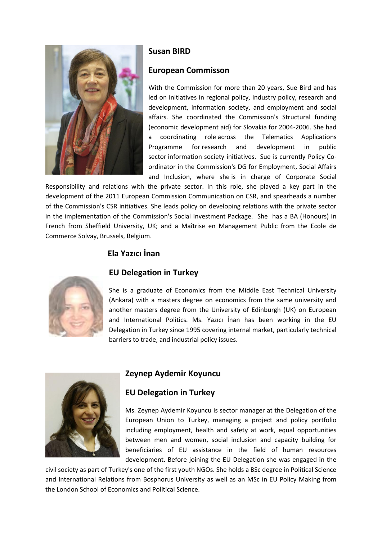

# **Susan BIRD**

#### **European Commisson**

With the Commission for more than 20 years, Sue Bird and has led on initiatives in regional policy, industry policy, research and development, information society, and employment and social affairs. She coordinated the Commission's Structural funding (economic development aid) for Slovakia for 2004-2006. She had a coordinating role across the Telematics Applications Programme for research and development in public sector information society initiatives. Sue is currently Policy Coordinator in the Commission's DG for Employment, Social Affairs and Inclusion, where she is in charge of Corporate Social

Responsibility and relations with the private sector. In this role, she played a key part in the development of the 2011 European Commission Communication on CSR, and spearheads a number of the Commission's CSR initiatives. She leads policy on developing relations with the private sector in the implementation of the Commission's Social Investment Package. She has a BA (Honours) in French from Sheffield University, UK; and a Maîtrise en Management Public from the Ecole de Commerce Solvay, Brussels, Belgium.

# **Ela Yazıcı İnan**



#### **EU Delegation in Turkey**

She is a graduate of Economics from the Middle East Technical University (Ankara) with a masters degree on economics from the same university and another masters degree from the University of Edinburgh (UK) on European and International Politics. Ms. Yazıcı İnan has been working in the EU Delegation in Turkey since 1995 covering internal market, particularly technical barriers to trade, and industrial policy issues.



#### **Zeynep Aydemir Koyuncu**

## **EU Delegation in Turkey**

Ms. Zeynep Aydemir Koyuncu is sector manager at the Delegation of the European Union to Turkey, managing a project and policy portfolio including employment, health and safety at work, equal opportunities between men and women, social inclusion and capacity building for beneficiaries of EU assistance in the field of human resources development. Before joining the EU Delegation she was engaged in the

civil society as part of Turkey's one of the first youth NGOs. She holds a BSc degree in Political Science and International Relations from Bosphorus University as well as an MSc in EU Policy Making from the London School of Economics and Political Science.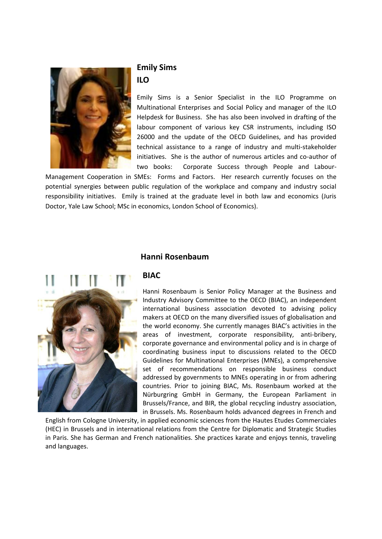

# **Emily Sims ILO**

Emily Sims is a Senior Specialist in the ILO Programme on Multinational Enterprises and Social Policy and manager of the ILO Helpdesk for Business. She has also been involved in drafting of the labour component of various key CSR instruments, including ISO 26000 and the update of the OECD Guidelines, and has provided technical assistance to a range of industry and multi-stakeholder initiatives. She is the author of numerous articles and co-author of two books: Corporate Success through People and Labour-

Management Cooperation in SMEs: Forms and Factors. Her research currently focuses on the potential synergies between public regulation of the workplace and company and industry social responsibility initiatives. Emily is trained at the graduate level in both law and economics (Juris Doctor, Yale Law School; MSc in economics, London School of Economics).



## **Hanni Rosenbaum**

#### **BIAC**

Hanni Rosenbaum is Senior Policy Manager at the Business and Industry Advisory Committee to the OECD (BIAC), an independent international business association devoted to advising policy makers at OECD on the many diversified issues of globalisation and the world economy. She currently manages BIAC's activities in the areas of investment, corporate responsibility, anti-bribery, corporate governance and environmental policy and is in charge of coordinating business input to discussions related to the OECD Guidelines for Multinational Enterprises (MNEs), a comprehensive set of recommendations on responsible business conduct addressed by governments to MNEs operating in or from adhering countries. Prior to joining BIAC, Ms. Rosenbaum worked at the Nürburgring GmbH in Germany, the European Parliament in Brussels/France, and BIR, the global recycling industry association, in Brussels. Ms. Rosenbaum holds advanced degrees in French and

English from Cologne University, in applied economic sciences from the Hautes Etudes Commerciales (HEC) in Brussels and in international relations from the Centre for Diplomatic and Strategic Studies in Paris. She has German and French nationalities. She practices karate and enjoys tennis, traveling and languages.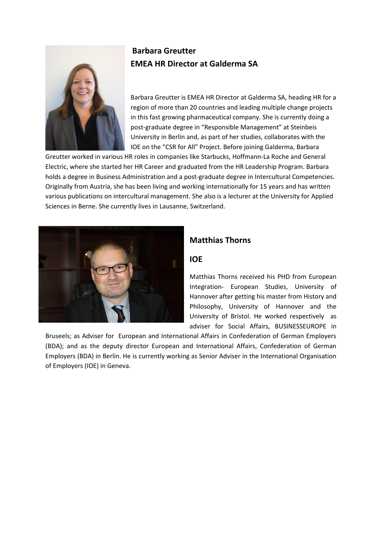

# **Barbara Greutter EMEA HR Director at Galderma SA**

Barbara Greutter is EMEA HR Director at Galderma SA, heading HR for a region of more than 20 countries and leading multiple change projects in this fast growing pharmaceutical company. She is currently doing a post-graduate degree in "Responsible Management" at Steinbeis University in Berlin and, as part of her studies, collaborates with the IOE on the "CSR for All" Project. Before joining Galderma, Barbara

Greutter worked in various HR roles in companies like Starbucks, Hoffmann-La Roche and General Electric, where she started her HR Career and graduated from the HR Leadership Program. Barbara holds a degree in Business Administration and a post-graduate degree in Intercultural Competencies. Originally from Austria, she has been living and working internationally for 15 years and has written various publications on intercultural management. She also is a lecturer at the University for Applied Sciences in Berne. She currently lives in Lausanne, Switzerland.



# **Matthias Thorns**

#### **IOE**

Matthias Thorns received his PHD from European Integration- European Studies, University of Hannover after getting his master from History and Philosophy, University of Hannover and the University of Bristol. He worked respectively as adviser for Social Affairs, BUSINESSEUROPE in

Bruseels; as Adviser for European and International Affairs in Confederation of German Employers (BDA); and as the deputy director European and International Affairs, Confederation of German Employers (BDA) in Berlin. He is currently working as Senior Adviser in the International Organisation of Employers (IOE) in Geneva.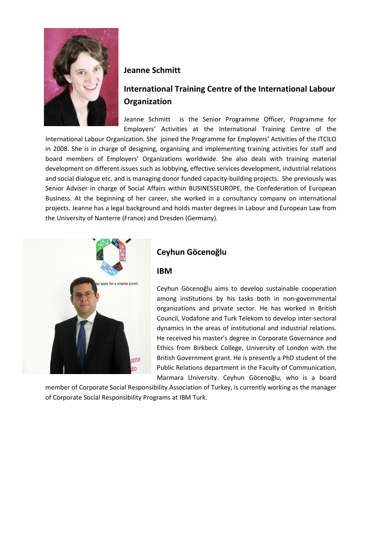

#### **Jeanne Schmitt**

# **International Training Centre of the International Labour Organization**

Jeanne Schmitt is the Senior Programme Officer, Programme for Employers' Activities at the International Training Centre of the

International Labour Organization. She joined the Programme for Employers' Activities of the ITCILO in 2008. She is in charge of designing, organising and implementing training activities for staff and board members of Employers' Organizations worldwide. She also deals with training material development on different issues such as lobbying, effective services development, industrial relations and social dialogue etc. and is managing donor funded capacity-building projects. She previously was Senior Adviser in charge of Social Affairs within BUSINESSEUROPE, the Confederation of European Business. At the beginning of her career, she worked in a consultancy company on international projects. Jeanne has a legal background and holds master degrees in Labour and European Law from the University of Nanterre (France) and Dresden (Germany).



# **Ceyhun Göcenoğlu**

#### **IBM**

Ceyhun Göcenoğlu aims to develop sustainable cooperation among institutions by his tasks both in non-governmental organizations and private sector. He has worked in British Council, Vodafone and Turk Telekom to develop inter-sectoral dynamics in the areas of institutional and industrial relations. He received his master's degree in Corporate Governance and Ethics from Birkbeck College, University of London with the British Government grant. He is presently a PhD student of the Public Relations department in the Faculty of Communication, Marmara University. Ceyhun Göcenoğlu, who is a board

member of Corporate Social Responsibility Association of Turkey, is currently working as the manager of Corporate Social Responsibility Programs at IBM Turk.